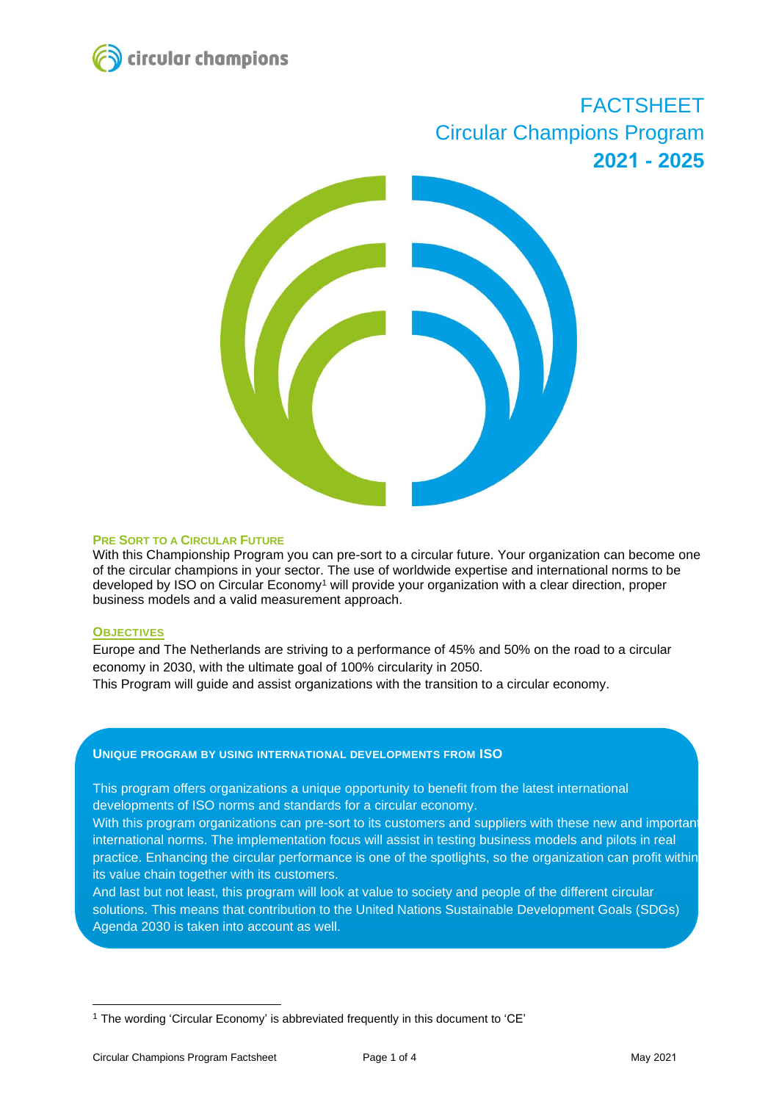

# FACTSHEET Circular Champions Program **2021 - 2025**



#### **PRE SORT TO A CIRCULAR FUTURE**

With this Championship Program you can pre-sort to a circular future. Your organization can become one of the circular champions in your sector. The use of worldwide expertise and international norms to be developed by ISO on Circular Economy<sup>1</sup> will provide your organization with a clear direction, proper business models and a valid measurement approach.

#### **OBJECTIVES**

Europe and The Netherlands are striving to a performance of 45% and 50% on the road to a circular economy in 2030, with the ultimate goal of 100% circularity in 2050.

This Program will guide and assist organizations with the transition to a circular economy.

## **UNIQUE PROGRAM BY USING INTERNATIONAL DEVELOPMENTS FROM ISO**

This program offers organizations a unique opportunity to benefit from the latest international developments of ISO norms and standards for a circular economy.

With this program organizations can pre-sort to its customers and suppliers with these new and important international norms. The implementation focus will assist in testing business models and pilots in real practice. Enhancing the circular performance is one of the spotlights, so the organization can profit within its value chain together with its customers.

And last but not least, this program will look at value to society and people of the different circular solutions. This means that contribution to the United Nations Sustainable Development Goals (SDGs) Agenda 2030 is taken into account as well.

<sup>1</sup> The wording 'Circular Economy' is abbreviated frequently in this document to 'CE'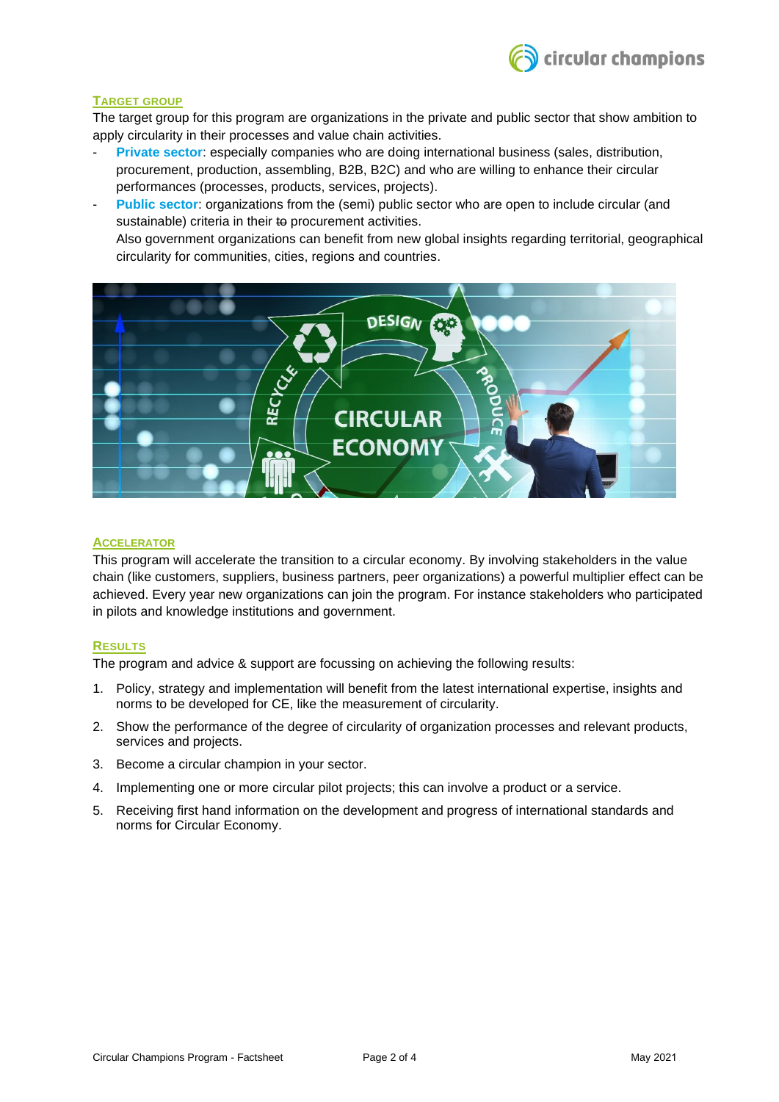

## **TARGET GROUP**

The target group for this program are organizations in the private and public sector that show ambition to apply circularity in their processes and value chain activities.

- **Private sector:** especially companies who are doing international business (sales, distribution, procurement, production, assembling, B2B, B2C) and who are willing to enhance their circular performances (processes, products, services, projects).
- Public sector: organizations from the (semi) public sector who are open to include circular (and sustainable) criteria in their to procurement activities.

Also government organizations can benefit from new global insights regarding territorial, geographical circularity for communities, cities, regions and countries.



## **ACCELERATOR**

This program will accelerate the transition to a circular economy. By involving stakeholders in the value chain (like customers, suppliers, business partners, peer organizations) a powerful multiplier effect can be achieved. Every year new organizations can join the program. For instance stakeholders who participated in pilots and knowledge institutions and government.

## **RESULTS**

The program and advice & support are focussing on achieving the following results:

- 1. Policy, strategy and implementation will benefit from the latest international expertise, insights and norms to be developed for CE, like the measurement of circularity.
- 2. Show the performance of the degree of circularity of organization processes and relevant products, services and projects.
- 3. Become a circular champion in your sector.
- 4. Implementing one or more circular pilot projects; this can involve a product or a service.
- 5. Receiving first hand information on the development and progress of international standards and norms for Circular Economy.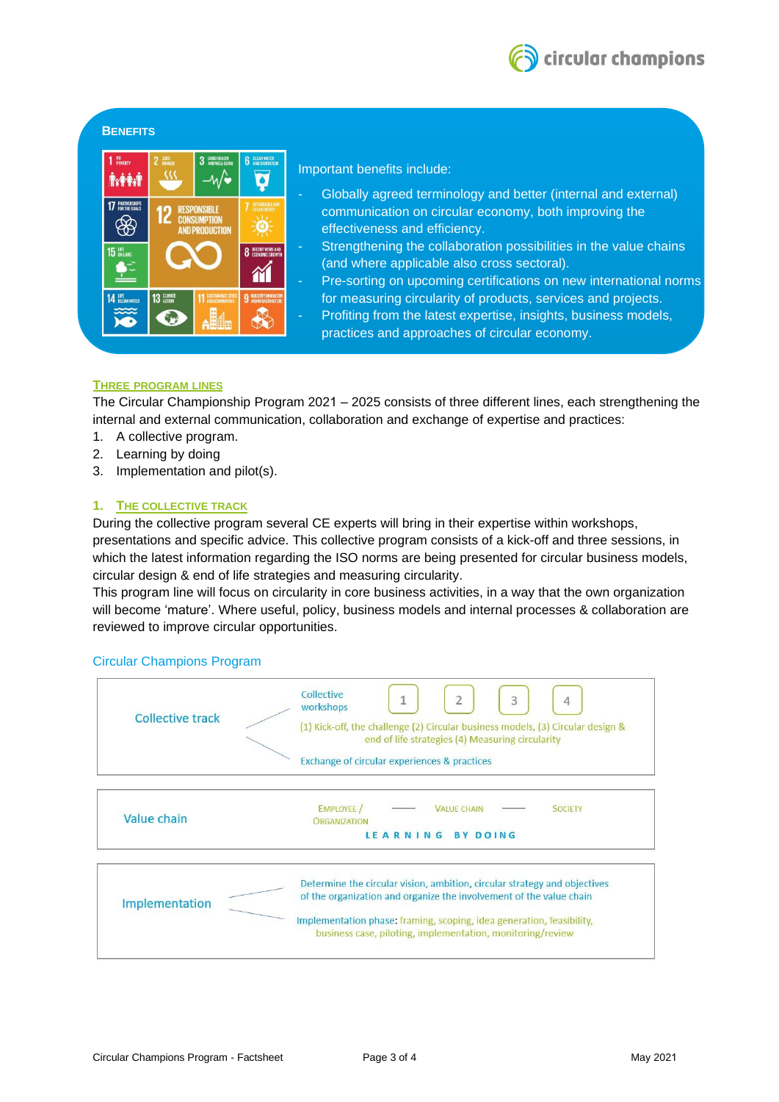

## **BENEFITS**



Important benefits include:

- Globally agreed terminology and better (internal and external) communication on circular economy, both improving the effectiveness and efficiency.
- Strengthening the collaboration possibilities in the value chains (and where applicable also cross sectoral).
- Pre-sorting on upcoming certifications on new international norms for measuring circularity of products, services and projects.
- Profiting from the latest expertise, insights, business models, practices and approaches of circular economy.

## **THREE PROGRAM LINES**

The Circular Championship Program 2021 – 2025 consists of three different lines, each strengthening the internal and external communication, collaboration and exchange of expertise and practices:

- 1. A collective program.
- 2. Learning by doing
- 3. Implementation and pilot(s).

## **1. THE COLLECTIVE TRACK**

During the collective program several CE experts will bring in their expertise within workshops, presentations and specific advice. This collective program consists of a kick-off and three sessions, in which the latest information regarding the ISO norms are being presented for circular business models, circular design & end of life strategies and measuring circularity.

This program line will focus on circularity in core business activities, in a way that the own organization will become 'mature'. Where useful, policy, business models and internal processes & collaboration are reviewed to improve circular opportunities.

## Circular Champions Program